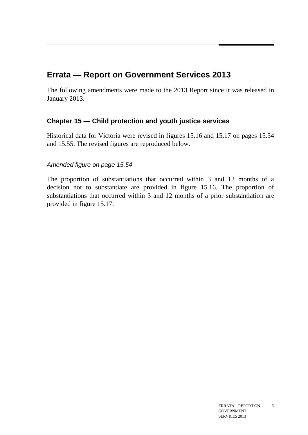# **Errata — Report on Government Services 2013**

The following amendments were made to the 2013 Report since it was released in January 2013.

## **Chapter 15 — Child protection and youth justice services**

Historical data for Victoria were revised in figures 15.16 and 15.17 on pages 15.54 and 15.55. The revised figures are reproduced below.

## *Amended figure on page 15.54*

The proportion of substantiations that occurred within 3 and 12 months of a decision not to substantiate are provided in figure 15.16. The proportion of substantiations that occurred within 3 and 12 months of a prior substantiation are provided in figure 15.17.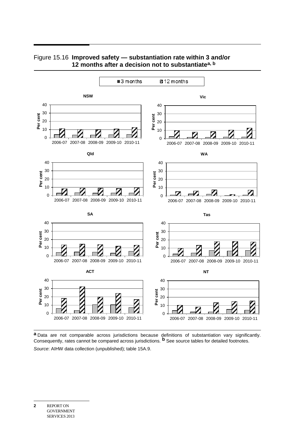

### Figure 15.16 **Improved safety — substantiation rate within 3 and/or 12 months after a decision not to substantiatea, b**

**a** Data are not comparable across jurisdictions because definitions of substantiation vary significantly. Consequently, rates cannot be compared across jurisdictions. **b** See source tables for detailed footnotes. *Source*: AIHW data collection (unpublished); table 15A.9.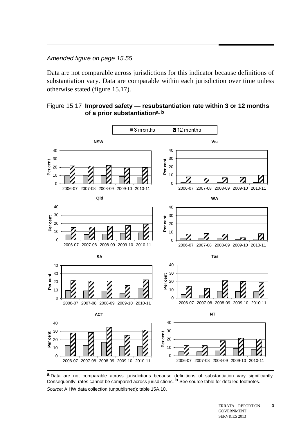## *Amended figure on page 15.55*

Data are not comparable across jurisdictions for this indicator because definitions of substantiation vary. Data are comparable within each jurisdiction over time unless otherwise stated (figure 15.17).

### Figure 15.17 **Improved safety — resubstantiation rate within 3 or 12 months of a prior substantiationa, b**



**a** Data are not comparable across jurisdictions because definitions of substantiation vary significantly. Consequently, rates cannot be compared across jurisdictions. **b** See source table for detailed footnotes. *Source*: AIHW data collection (unpublished); table 15A.10.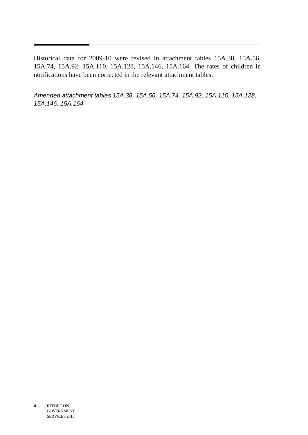Historical data for 2009-10 were revised in attachment tables 15A.38, 15A.56, 15A.74, 15A.92, 15A.110, 15A.128, 15A.146, 15A.164. The rates of children in notifications have been corrected in the relevant attachment tables.

*Amended attachment tables 15A.38, 15A.56, 15A.74, 15A.92, 15A.110, 15A.128, 15A.146, 15A.164*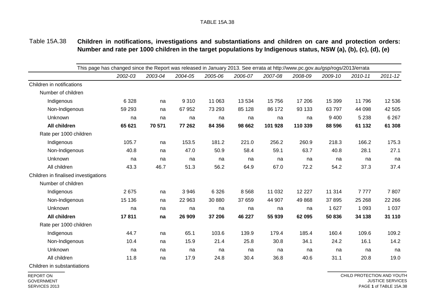#### Table 15A.38 **Children in notifications, investigations and substantiations and children on care and protection orders: Number and rate per 1000 children in the target populations by Indigenous status, NSW (a), (b), (c), (d), (e)**

| This page has changed since the Report was released in January 2013. See errata at http://www.pc.gov.au/gsp/rogs/2013/errata |         |         |         |         |         |          |         |         |             |  |  |  |
|------------------------------------------------------------------------------------------------------------------------------|---------|---------|---------|---------|---------|----------|---------|---------|-------------|--|--|--|
| 2002-03                                                                                                                      | 2003-04 | 2004-05 | 2005-06 | 2006-07 | 2007-08 | 2008-09  | 2009-10 | 2010-11 | $2011 - 12$ |  |  |  |
|                                                                                                                              |         |         |         |         |         |          |         |         |             |  |  |  |
|                                                                                                                              |         |         |         |         |         |          |         |         |             |  |  |  |
| 6 3 28                                                                                                                       | na      | 9 3 1 0 | 11 063  | 13 5 34 | 15 7 56 | 17 20 6  | 15 399  | 11796   | 12 536      |  |  |  |
| 59 293                                                                                                                       | na      | 67 952  | 73 293  | 85 128  | 86 172  | 93 133   | 63797   | 44 098  | 42 505      |  |  |  |
| na                                                                                                                           | na      | na      | na      | na      | na      | na       | 9 4 0 0 | 5 2 3 8 | 6 2 6 7     |  |  |  |
| 65 621                                                                                                                       | 70 571  | 77 262  | 84 356  | 98 662  | 101 928 | 110 339  | 88 596  | 61 132  | 61 308      |  |  |  |
|                                                                                                                              |         |         |         |         |         |          |         |         |             |  |  |  |
| 105.7                                                                                                                        | na      | 153.5   | 181.2   | 221.0   | 256.2   | 260.9    | 218.3   | 166.2   | 175.3       |  |  |  |
| 40.8                                                                                                                         | na      | 47.0    | 50.9    | 58.4    | 59.1    | 63.7     | 40.8    | 28.1    | 27.1        |  |  |  |
| na                                                                                                                           | na      | na      | na      | na      | na      | na       | na      | na      | na          |  |  |  |
| 43.3                                                                                                                         | 46.7    | 51.3    | 56.2    | 64.9    | 67.0    | 72.2     | 54.2    | 37.3    | 37.4        |  |  |  |
| Children in finalised investigations                                                                                         |         |         |         |         |         |          |         |         |             |  |  |  |
|                                                                                                                              |         |         |         |         |         |          |         |         |             |  |  |  |
| 2675                                                                                                                         | na      | 3 9 4 6 | 6 3 2 6 | 8568    | 11 032  | 12 2 2 7 | 11 314  | 7777    | 7807        |  |  |  |
| 15 136                                                                                                                       | na      | 22 963  | 30 880  | 37 659  | 44 907  | 49 868   | 37 895  | 25 268  | 22 266      |  |  |  |
| na                                                                                                                           | na      | na      | na      | na      | na      | na       | 1 6 2 7 | 1 0 9 3 | 1 0 3 7     |  |  |  |
| 17811                                                                                                                        | na      | 26 909  | 37 206  | 46 227  | 55 939  | 62 095   | 50 836  | 34 138  | 31 110      |  |  |  |
|                                                                                                                              |         |         |         |         |         |          |         |         |             |  |  |  |
| 44.7                                                                                                                         | na      | 65.1    | 103.6   | 139.9   | 179.4   | 185.4    | 160.4   | 109.6   | 109.2       |  |  |  |
| 10.4                                                                                                                         | na      | 15.9    | 21.4    | 25.8    | 30.8    | 34.1     | 24.2    | 16.1    | 14.2        |  |  |  |
| na                                                                                                                           | na      | na      | na      | na      | na      | na       | na      | na      | na          |  |  |  |
| 11.8                                                                                                                         | na      | 17.9    | 24.8    | 30.4    | 36.8    | 40.6     | 31.1    | 20.8    | 19.0        |  |  |  |
|                                                                                                                              |         |         |         |         |         |          |         |         |             |  |  |  |

Children in substantiations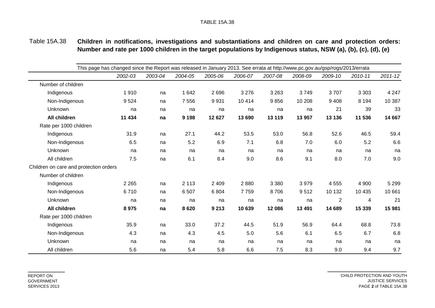Table 15A.38 **Children in notifications, investigations and substantiations and children on care and protection orders: Number and rate per 1000 children in the target populations by Indigenous status, NSW (a), (b), (c), (d), (e)**

|                                        | This page has changed since the Report was released in January 2013. See errata at http://www.pc.gov.au/gsp/rogs/2013/errata |         |         |         |         |         |         |                |         |             |  |  |  |
|----------------------------------------|------------------------------------------------------------------------------------------------------------------------------|---------|---------|---------|---------|---------|---------|----------------|---------|-------------|--|--|--|
|                                        | 2002-03                                                                                                                      | 2003-04 | 2004-05 | 2005-06 | 2006-07 | 2007-08 | 2008-09 | 2009-10        | 2010-11 | $2011 - 12$ |  |  |  |
| Number of children                     |                                                                                                                              |         |         |         |         |         |         |                |         |             |  |  |  |
| Indigenous                             | 1910                                                                                                                         | na      | 1 642   | 2696    | 3 2 7 6 | 3 2 6 3 | 3749    | 3707           | 3 3 0 3 | 4 2 4 7     |  |  |  |
| Non-Indigenous                         | 9524                                                                                                                         | na      | 7 5 5 6 | 9931    | 10 4 14 | 9856    | 10 208  | 9408           | 8 1 9 4 | 10 387      |  |  |  |
| Unknown                                | na                                                                                                                           | na      | na      | na      | na      | na      | na      | 21             | 39      | 33          |  |  |  |
| All children                           | 11 434                                                                                                                       | na      | 9 1 9 8 | 12 627  | 13 690  | 13 119  | 13 957  | 13 136         | 11 536  | 14 667      |  |  |  |
| Rate per 1000 children                 |                                                                                                                              |         |         |         |         |         |         |                |         |             |  |  |  |
| Indigenous                             | 31.9                                                                                                                         | na      | 27.1    | 44.2    | 53.5    | 53.0    | 56.8    | 52.6           | 46.5    | 59.4        |  |  |  |
| Non-Indigenous                         | 6.5                                                                                                                          | na      | 5.2     | 6.9     | 7.1     | 6.8     | 7.0     | 6.0            | 5.2     | 6.6         |  |  |  |
| Unknown                                | na                                                                                                                           | na      | na      | na      | na      | na      | na      | na             | na      | na          |  |  |  |
| All children                           | 7.5                                                                                                                          | na      | 6.1     | 8.4     | 9.0     | 8.6     | 9.1     | 8.0            | 7.0     | 9.0         |  |  |  |
| Children on care and protection orders |                                                                                                                              |         |         |         |         |         |         |                |         |             |  |  |  |
| Number of children                     |                                                                                                                              |         |         |         |         |         |         |                |         |             |  |  |  |
| Indigenous                             | 2 2 6 5                                                                                                                      | na      | 2 1 1 3 | 2 4 0 9 | 2880    | 3 3 8 0 | 3979    | 4 5 5 5        | 4 900   | 5 2 9 9     |  |  |  |
| Non-Indigenous                         | 6710                                                                                                                         | na      | 6 5 0 7 | 6804    | 7759    | 8706    | 9512    | 10 132         | 10 4 35 | 10 661      |  |  |  |
| Unknown                                | na                                                                                                                           | na      | na      | na      | na      | na      | na      | $\overline{2}$ | 4       | 21          |  |  |  |
| All children                           | 8975                                                                                                                         | na      | 8620    | 9 2 1 3 | 10 639  | 12 086  | 13 4 91 | 14 689         | 15 339  | 15 981      |  |  |  |
| Rate per 1000 children                 |                                                                                                                              |         |         |         |         |         |         |                |         |             |  |  |  |
| Indigenous                             | 35.9                                                                                                                         | na      | 33.0    | 37.2    | 44.5    | 51.9    | 56.9    | 64.4           | 68.8    | 73.8        |  |  |  |
| Non-Indigenous                         | 4.3                                                                                                                          | na      | 4.3     | 4.5     | 5.0     | 5.6     | 6.1     | 6.5            | 6.7     | 6.8         |  |  |  |
| Unknown                                | na                                                                                                                           | na      | na      | na      | na      | na      | na      | na             | na      | na          |  |  |  |
| All children                           | 5.6                                                                                                                          | na      | 5.4     | 5.8     | 6.6     | 7.5     | 8.3     | 9.0            | 9.4     | 9.7         |  |  |  |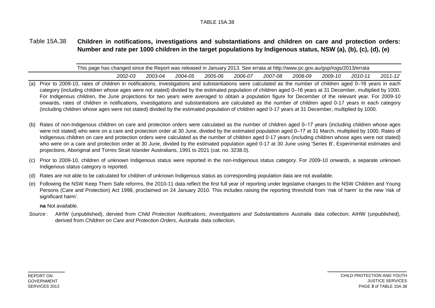#### Table 15A.38 **Children in notifications, investigations and substantiations and children on care and protection orders: Number and rate per 1000 children in the target populations by Indigenous status, NSW (a), (b), (c), (d), (e)**

| This page has changed since the Report was released in January 2013. See errata at http://www.pc.gov.au/gsp/rogs/2013/errata |  |         |         |         |         |         |         |         |         |         |         |  |
|------------------------------------------------------------------------------------------------------------------------------|--|---------|---------|---------|---------|---------|---------|---------|---------|---------|---------|--|
|                                                                                                                              |  | 2002-03 | 2003-04 | 2004-05 | 2005-06 | 2006-07 | 2007-08 | 2008-09 | 2009-10 | 2010-11 | 2011-12 |  |

- (a) Prior to 2009-10, rates of children in notifications, investigations and substantiations were calculated as the number of children aged 0–16 years in each category (including children whose ages were not stated) divided by the estimated population of children aged 0–16 years at 31 December, multiplied by 1000. For Indigenous children, the June projections for two years were averaged to obtain a population figure for December of the relevant year. For 2009-10 onwards, rates of children in notifications, investigations and substantiations are calculated as the number of children aged 0-17 years in each category (including children whose ages were not stated) divided by the estimated population of children aged 0-17 years at 31 December, multiplied by 1000.
- (b) Rates of non-Indigenous children on care and protection orders were calculated as the number of children aged 0–17 years (including children whose ages were not stated) who were on a care and protection order at 30 June, divided by the estimated population aged 0–17 at 31 March, multiplied by 1000. Rates of Indigenous children on care and protection orders were calculated as the number of children aged 0-17 years (including children whose ages were not stated) who were on a care and protection order at 30 June, divided by the estimated population aged 0-17 at 30 June using 'Series B', Experimental estimates and projections, Aboriginal and Torres Strait Islander Australians, 1991 to 2021 (cat. no. 3238.0).
- (c) Prior to 2009-10, children of unknown Indigenous status were reported in the non-Indigenous status category. For 2009-10 onwards, a separate unknown Indigenous status category is reported.
- (d) Rates are not able to be calculated for children of unknown Indigenous status as corresponding population data are not available.
- (e) Following the NSW Keep Them Safe reforms, the 2010-11 data reflect the first full year of reporting under legislative changes to the NSW Children and Young Persons (Care and Protection) Act 1998, proclaimed on 24 January 2010. This includes raising the reporting threshold from 'risk of harm' to the new 'risk of significant harm'.

**na** Not available.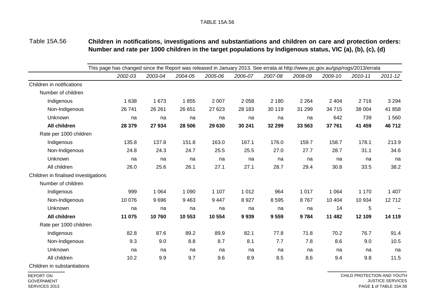#### Table 15A.56 **Children in notifications, investigations and substantiations and children on care and protection orders: Number and rate per 1000 children in the target populations by Indigenous status, VIC (a), (b), (c), (d)**

|                                      | This page has changed since the Report was released in January 2013. See errata at http://www.pc.gov.au/gsp/rogs/2013/errata |         |         |         |         |         |         |         |         |             |
|--------------------------------------|------------------------------------------------------------------------------------------------------------------------------|---------|---------|---------|---------|---------|---------|---------|---------|-------------|
|                                      | 2002-03                                                                                                                      | 2003-04 | 2004-05 | 2005-06 | 2006-07 | 2007-08 | 2008-09 | 2009-10 | 2010-11 | $2011 - 12$ |
| Children in notifications            |                                                                                                                              |         |         |         |         |         |         |         |         |             |
| Number of children                   |                                                                                                                              |         |         |         |         |         |         |         |         |             |
| Indigenous                           | 1 6 3 8                                                                                                                      | 1673    | 1855    | 2 0 0 7 | 2 0 5 8 | 2 1 8 0 | 2 2 6 4 | 2 4 0 4 | 2716    | 3 2 9 4     |
| Non-Indigenous                       | 26 741                                                                                                                       | 26 261  | 26 651  | 27 623  | 28 183  | 30 119  | 31 299  | 34 715  | 38 004  | 41 858      |
| Unknown                              | na                                                                                                                           | na      | na      | na      | na      | na      | na      | 642     | 739     | 1560        |
| All children                         | 28 379                                                                                                                       | 27 934  | 28 506  | 29 630  | 30 241  | 32 299  | 33 563  | 37 761  | 41 459  | 46712       |
| Rate per 1000 children               |                                                                                                                              |         |         |         |         |         |         |         |         |             |
| Indigenous                           | 135.8                                                                                                                        | 137.8   | 151.8   | 163.0   | 167.1   | 176.0   | 159.7   | 158.7   | 178.1   | 213.9       |
| Non-Indigenous                       | 24.8                                                                                                                         | 24.3    | 24.7    | 25.5    | 25.5    | 27.0    | 27.7    | 28.7    | 31.1    | 34.6        |
| Unknown                              | na                                                                                                                           | na      | na      | na      | na      | na      | na      | na      | na      | na          |
| All children                         | 26.0                                                                                                                         | 25.6    | 26.1    | 27.1    | 27.1    | 28.7    | 29.4    | 30.8    | 33.5    | 38.2        |
| Children in finalised investigations |                                                                                                                              |         |         |         |         |         |         |         |         |             |
| Number of children                   |                                                                                                                              |         |         |         |         |         |         |         |         |             |
| Indigenous                           | 999                                                                                                                          | 1 0 6 4 | 1 0 9 0 | 1 1 0 7 | 1 0 1 2 | 964     | 1 0 1 7 | 1 0 6 4 | 1 1 7 0 | 1 407       |
| Non-Indigenous                       | 10 076                                                                                                                       | 9696    | 9 4 6 3 | 9 4 4 7 | 8927    | 8595    | 8767    | 10 404  | 10 934  | 12712       |
| Unknown                              | na                                                                                                                           | na      | na      | na      | na      | na      | na      | 14      | 5       |             |
| All children                         | 11 075                                                                                                                       | 10760   | 10 553  | 10 554  | 9939    | 9559    | 9784    | 11 482  | 12 109  | 14 119      |
| Rate per 1000 children               |                                                                                                                              |         |         |         |         |         |         |         |         |             |
| Indigenous                           | 82.8                                                                                                                         | 87.6    | 89.2    | 89.9    | 82.1    | 77.8    | 71.8    | 70.2    | 76.7    | 91.4        |
| Non-Indigenous                       | 9.3                                                                                                                          | 9.0     | 8.8     | 8.7     | 8.1     | 7.7     | 7.8     | 8.6     | 9.0     | 10.5        |
| Unknown                              | na                                                                                                                           | na      | na      | na      | na      | na      | na      | na      | na      | na          |
| All children                         | 10.2                                                                                                                         | 9.9     | 9.7     | 9.6     | 8.9     | 8.5     | 8.6     | 9.4     | 9.8     | 11.5        |
|                                      |                                                                                                                              |         |         |         |         |         |         |         |         |             |

Children in substantiations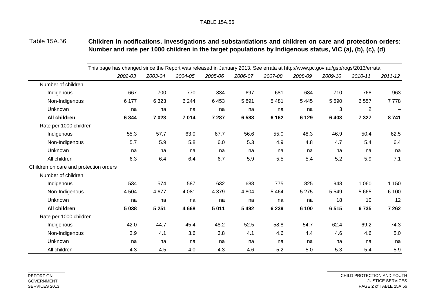Table 15A.56 **Children in notifications, investigations and substantiations and children on care and protection orders: Number and rate per 1000 children in the target populations by Indigenous status, VIC (a), (b), (c), (d)**

|                                        | This page has changed since the Report was released in January 2013. See errata at http://www.pc.gov.au/gsp/rogs/2013/errata |         |         |         |         |         |         |         |                |                   |  |  |  |
|----------------------------------------|------------------------------------------------------------------------------------------------------------------------------|---------|---------|---------|---------|---------|---------|---------|----------------|-------------------|--|--|--|
|                                        | 2002-03                                                                                                                      | 2003-04 | 2004-05 | 2005-06 | 2006-07 | 2007-08 | 2008-09 | 2009-10 | 2010-11        | $2011 - 12$       |  |  |  |
| Number of children                     |                                                                                                                              |         |         |         |         |         |         |         |                |                   |  |  |  |
| Indigenous                             | 667                                                                                                                          | 700     | 770     | 834     | 697     | 681     | 684     | 710     | 768            | 963               |  |  |  |
| Non-Indigenous                         | 6 177                                                                                                                        | 6 3 2 3 | 6 2 4 4 | 6 4 5 3 | 5891    | 5 4 8 1 | 5 4 4 5 | 5 6 9 0 | 6557           | 7778              |  |  |  |
| Unknown                                | na                                                                                                                           | na      | na      | na      | na      | na      | na      | 3       | $\overline{2}$ | $\qquad \qquad -$ |  |  |  |
| All children                           | 6844                                                                                                                         | 7023    | 7014    | 7 2 8 7 | 6588    | 6 1 6 2 | 6 1 2 9 | 6 4 0 3 | 7 3 2 7        | 8741              |  |  |  |
| Rate per 1000 children                 |                                                                                                                              |         |         |         |         |         |         |         |                |                   |  |  |  |
| Indigenous                             | 55.3                                                                                                                         | 57.7    | 63.0    | 67.7    | 56.6    | 55.0    | 48.3    | 46.9    | 50.4           | 62.5              |  |  |  |
| Non-Indigenous                         | 5.7                                                                                                                          | 5.9     | 5.8     | 6.0     | 5.3     | 4.9     | 4.8     | 4.7     | 5.4            | 6.4               |  |  |  |
| Unknown                                | na                                                                                                                           | na      | na      | na      | na      | na      | na      | na      | na             | na                |  |  |  |
| All children                           | 6.3                                                                                                                          | 6.4     | 6.4     | 6.7     | 5.9     | 5.5     | 5.4     | 5.2     | 5.9            | 7.1               |  |  |  |
| Children on care and protection orders |                                                                                                                              |         |         |         |         |         |         |         |                |                   |  |  |  |
| Number of children                     |                                                                                                                              |         |         |         |         |         |         |         |                |                   |  |  |  |
| Indigenous                             | 534                                                                                                                          | 574     | 587     | 632     | 688     | 775     | 825     | 948     | 1 0 6 0        | 1 1 5 0           |  |  |  |
| Non-Indigenous                         | 4 5 0 4                                                                                                                      | 4 6 7 7 | 4 0 8 1 | 4 3 7 9 | 4 8 0 4 | 5 4 6 4 | 5 2 7 5 | 5 5 4 9 | 5 6 6 5        | 6 100             |  |  |  |
| Unknown                                | na                                                                                                                           | na      | na      | na      | na      | na      | na      | 18      | 10             | 12                |  |  |  |
| All children                           | 5 0 38                                                                                                                       | 5 2 5 1 | 4668    | 5 0 1 1 | 5 4 9 2 | 6 2 3 9 | 6 100   | 6515    | 6735           | 7 2 6 2           |  |  |  |
| Rate per 1000 children                 |                                                                                                                              |         |         |         |         |         |         |         |                |                   |  |  |  |
| Indigenous                             | 42.0                                                                                                                         | 44.7    | 45.4    | 48.2    | 52.5    | 58.8    | 54.7    | 62.4    | 69.2           | 74.3              |  |  |  |
| Non-Indigenous                         | 3.9                                                                                                                          | 4.1     | 3.6     | 3.8     | 4.1     | 4.6     | 4.4     | 4.6     | 4.6            | 5.0               |  |  |  |
| Unknown                                | na                                                                                                                           | na      | na      | na      | na      | na      | na      | na      | na             | na                |  |  |  |
| All children                           | 4.3                                                                                                                          | 4.5     | 4.0     | 4.3     | 4.6     | 5.2     | 5.0     | 5.3     | 5.4            | 5.9               |  |  |  |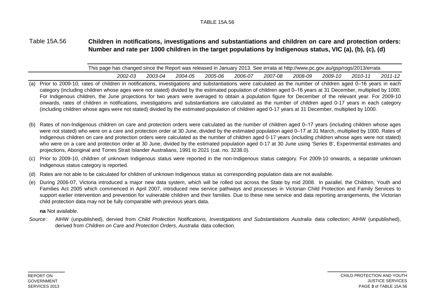#### Table 15A.56 **Children in notifications, investigations and substantiations and children on care and protection orders: Number and rate per 1000 children in the target populations by Indigenous status, VIC (a), (b), (c), (d)**

|  | This page has changed since the Report was released in January 2013. See errata at http://www.pc.gov.au/gsp/rogs/2013/errata |  |
|--|------------------------------------------------------------------------------------------------------------------------------|--|
|  |                                                                                                                              |  |

- *2002-03 2003-04 2004-05 2005-06 2006-07 2007-08 2008-09 2009-10 2010-11 2011-12* (a) Prior to 2009-10, rates of children in notifications, investigations and substantiations were calculated as the number of children aged 0–16 years in each category (including children whose ages were not stated) divided by the estimated population of children aged 0–16 years at 31 December, multiplied by 1000. For Indigenous children, the June projections for two years were averaged to obtain a population figure for December of the relevant year. For 2009-10 onwards, rates of children in notifications, investigations and substantiations are calculated as the number of children aged 0-17 years in each category (including children whose ages were not stated) divided by the estimated population of children aged 0-17 years at 31 December, multiplied by 1000.
- (b) Rates of non-Indigenous children on care and protection orders were calculated as the number of children aged 0–17 years (including children whose ages were not stated) who were on a care and protection order at 30 June, divided by the estimated population aged 0–17 at 31 March, multiplied by 1000. Rates of Indigenous children on care and protection orders were calculated as the number of children aged 0-17 years (including children whose ages were not stated) who were on a care and protection order at 30 June, divided by the estimated population aged 0-17 at 30 June using 'Series B', Experimental estimates and projections, Aboriginal and Torres Strait Islander Australians, 1991 to 2021 (cat. no. 3238.0).
- (c) Prior to 2009-10, children of unknown Indigenous status were reported in the non-Indigenous status category. For 2009-10 onwards, a separate unknown Indigenous status category is reported.
- (d) Rates are not able to be calculated for children of unknown Indigenous status as corresponding population data are not available.
- (e) During 2006-07, Victoria introduced a major new data system, which will be rolled out across the State by mid 2008. In parallel, the Children, Youth and Families Act 2005 which commenced in April 2007, introduced new service pathways and processes in Victorian Child Protection and Family Services to support earlier intervention and prevention for vulnerable children and their families. Due to these new service and data reporting arrangements, the Victorian child protection data may not be fully comparable with previous years data.

**na** Not available.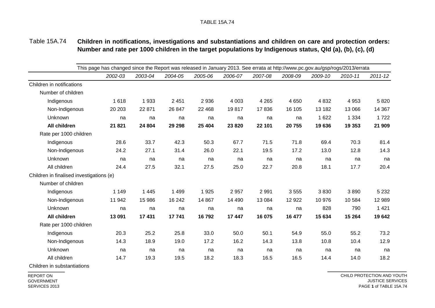#### Table 15A.74 **Children in notifications, investigations and substantiations and children on care and protection orders: Number and rate per 1000 children in the target populations by Indigenous status, Qld (a), (b), (c), (d)**

|                                          | This page has changed since the Report was released in January 2013. See errata at http://www.pc.gov.au/gsp/rogs/2013/errata |         |         |         |         |         |         |         |         |         |             |  |  |
|------------------------------------------|------------------------------------------------------------------------------------------------------------------------------|---------|---------|---------|---------|---------|---------|---------|---------|---------|-------------|--|--|
|                                          |                                                                                                                              | 2002-03 | 2003-04 | 2004-05 | 2005-06 | 2006-07 | 2007-08 | 2008-09 | 2009-10 | 2010-11 | $2011 - 12$ |  |  |
| Children in notifications                |                                                                                                                              |         |         |         |         |         |         |         |         |         |             |  |  |
| Number of children                       |                                                                                                                              |         |         |         |         |         |         |         |         |         |             |  |  |
| Indigenous                               |                                                                                                                              | 1618    | 1933    | 2 4 5 1 | 2 9 3 6 | 4 0 0 3 | 4 2 6 5 | 4 6 5 0 | 4 8 3 2 | 4 9 5 3 | 5820        |  |  |
| Non-Indigenous                           |                                                                                                                              | 20 20 3 | 22 871  | 26 847  | 22 4 68 | 19817   | 17836   | 16 105  | 13 182  | 13 066  | 14 3 67     |  |  |
| Unknown                                  |                                                                                                                              | na      | na      | na      | na      | na      | na      | na      | 1 6 2 2 | 1 3 3 4 | 1 7 2 2     |  |  |
| All children                             |                                                                                                                              | 21 821  | 24 804  | 29 29 8 | 25 4 04 | 23 8 20 | 22 101  | 20755   | 19636   | 19 353  | 21 909      |  |  |
| Rate per 1000 children                   |                                                                                                                              |         |         |         |         |         |         |         |         |         |             |  |  |
| Indigenous                               |                                                                                                                              | 28.6    | 33.7    | 42.3    | 50.3    | 67.7    | 71.5    | 71.8    | 69.4    | 70.3    | 81.4        |  |  |
| Non-Indigenous                           |                                                                                                                              | 24.2    | 27.1    | 31.4    | 26.0    | 22.1    | 19.5    | 17.2    | 13.0    | 12.8    | 14.3        |  |  |
| Unknown                                  |                                                                                                                              | na      | na      | na      | na      | na      | na      | na      | na      | na      | na          |  |  |
| All children                             |                                                                                                                              | 24.4    | 27.5    | 32.1    | 27.5    | 25.0    | 22.7    | 20.8    | 18.1    | 17.7    | 20.4        |  |  |
| Children in finalised investigations (e) |                                                                                                                              |         |         |         |         |         |         |         |         |         |             |  |  |
| Number of children                       |                                                                                                                              |         |         |         |         |         |         |         |         |         |             |  |  |
| Indigenous                               |                                                                                                                              | 1 1 4 9 | 1 4 4 5 | 1 4 9 9 | 1 9 2 5 | 2 9 5 7 | 2 9 9 1 | 3555    | 3830    | 3890    | 5 2 3 2     |  |  |
| Non-Indigenous                           |                                                                                                                              | 11 942  | 15 986  | 16 24 2 | 14 867  | 14 490  | 13 0 84 | 12 9 22 | 10 976  | 10 584  | 12 989      |  |  |
| Unknown                                  |                                                                                                                              | na      | na      | na      | na      | na      | na      | na      | 828     | 790     | 1 4 2 1     |  |  |
| All children                             |                                                                                                                              | 13 091  | 17 431  | 17741   | 16792   | 17 447  | 16 075  | 16 477  | 15 634  | 15 264  | 19642       |  |  |
| Rate per 1000 children                   |                                                                                                                              |         |         |         |         |         |         |         |         |         |             |  |  |
| Indigenous                               |                                                                                                                              | 20.3    | 25.2    | 25.8    | 33.0    | 50.0    | 50.1    | 54.9    | 55.0    | 55.2    | 73.2        |  |  |
| Non-Indigenous                           |                                                                                                                              | 14.3    | 18.9    | 19.0    | 17.2    | 16.2    | 14.3    | 13.8    | 10.8    | 10.4    | 12.9        |  |  |
| Unknown                                  |                                                                                                                              | na      | na      | na      | na      | na      | na      | na      | na      | na      | na          |  |  |
| All children                             |                                                                                                                              | 14.7    | 19.3    | 19.5    | 18.2    | 18.3    | 16.5    | 16.5    | 14.4    | 14.0    | 18.2        |  |  |

Children in substantiations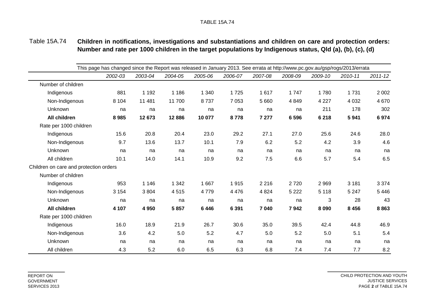#### Table 15A.74 **Children in notifications, investigations and substantiations and children on care and protection orders: Number and rate per 1000 children in the target populations by Indigenous status, Qld (a), (b), (c), (d)**

|                                        | This page has changed since the Report was released in January 2013. See errata at http://www.pc.gov.au/gsp/rogs/2013/errata |         |         |         |         |         |         |         |         |             |
|----------------------------------------|------------------------------------------------------------------------------------------------------------------------------|---------|---------|---------|---------|---------|---------|---------|---------|-------------|
|                                        | 2002-03                                                                                                                      | 2003-04 | 2004-05 | 2005-06 | 2006-07 | 2007-08 | 2008-09 | 2009-10 | 2010-11 | $2011 - 12$ |
| Number of children                     |                                                                                                                              |         |         |         |         |         |         |         |         |             |
| Indigenous                             | 881                                                                                                                          | 1 1 9 2 | 1 1 8 6 | 1 3 4 0 | 1725    | 1617    | 1747    | 1780    | 1 7 3 1 | 2 0 0 2     |
| Non-Indigenous                         | 8 1 0 4                                                                                                                      | 11 481  | 11 700  | 8737    | 7 0 5 3 | 5 6 6 0 | 4 8 4 9 | 4 2 2 7 | 4 0 3 2 | 4 6 7 0     |
| Unknown                                | na                                                                                                                           | na      | na      | na      | na      | na      | na      | 211     | 178     | 302         |
| All children                           | 8985                                                                                                                         | 12 673  | 12886   | 10 077  | 8778    | 7 277   | 6 5 9 6 | 6 2 18  | 5941    | 6974        |
| Rate per 1000 children                 |                                                                                                                              |         |         |         |         |         |         |         |         |             |
| Indigenous                             | 15.6                                                                                                                         | 20.8    | 20.4    | 23.0    | 29.2    | 27.1    | 27.0    | 25.6    | 24.6    | 28.0        |
| Non-Indigenous                         | 9.7                                                                                                                          | 13.6    | 13.7    | 10.1    | 7.9     | 6.2     | 5.2     | 4.2     | 3.9     | 4.6         |
| Unknown                                | na                                                                                                                           | na      | na      | na      | na      | na      | na      | na      | na      | na          |
| All children                           | 10.1                                                                                                                         | 14.0    | 14.1    | 10.9    | 9.2     | 7.5     | 6.6     | 5.7     | 5.4     | 6.5         |
| Children on care and protection orders |                                                                                                                              |         |         |         |         |         |         |         |         |             |
| Number of children                     |                                                                                                                              |         |         |         |         |         |         |         |         |             |
| Indigenous                             | 953                                                                                                                          | 1 1 4 6 | 1 3 4 2 | 1 6 6 7 | 1915    | 2 2 1 6 | 2720    | 2 9 6 9 | 3 1 8 1 | 3 3 7 4     |
| Non-Indigenous                         | 3 1 5 4                                                                                                                      | 3804    | 4515    | 4779    | 4 4 7 6 | 4 8 24  | 5 2 2 2 | 5 1 1 8 | 5 2 4 7 | 5 4 4 6     |
| Unknown                                | na                                                                                                                           | na      | na      | na      | na      | na      | na      | 3       | 28      | 43          |
| All children                           | 4 107                                                                                                                        | 4 9 5 0 | 5857    | 6446    | 6 3 9 1 | 7 040   | 7942    | 8 0 9 0 | 8 4 5 6 | 8863        |
| Rate per 1000 children                 |                                                                                                                              |         |         |         |         |         |         |         |         |             |
| Indigenous                             | 16.0                                                                                                                         | 18.9    | 21.9    | 26.7    | 30.6    | 35.0    | 39.5    | 42.4    | 44.8    | 46.9        |
| Non-Indigenous                         | 3.6                                                                                                                          | 4.2     | 5.0     | 5.2     | 4.7     | 5.0     | 5.2     | 5.0     | 5.1     | 5.4         |
| Unknown                                | na                                                                                                                           | na      | na      | na      | na      | na      | na      | na      | na      | na          |
| All children                           | 4.3                                                                                                                          | 5.2     | 6.0     | 6.5     | 6.3     | 6.8     | 7.4     | 7.4     | 7.7     | 8.2         |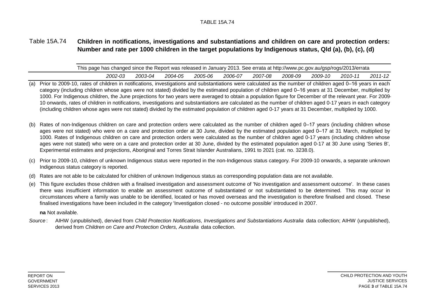#### Table 15A.74 **Children in notifications, investigations and substantiations and children on care and protection orders: Number and rate per 1000 children in the target populations by Indigenous status, Qld (a), (b), (c), (d)**

| This page has changed since the Report was released in January 2013. See errata at http://www.pc.gov.au/gsp/rogs/2013/errata |         |         |         |         |         |         |         |         |         |         |  |  |
|------------------------------------------------------------------------------------------------------------------------------|---------|---------|---------|---------|---------|---------|---------|---------|---------|---------|--|--|
|                                                                                                                              | 2002-03 | 2003-04 | 2004-05 | 2005-06 | 2006-07 | 2007-08 | 2008-09 | 2009-10 | 2010-11 | 2011-12 |  |  |

- (a) Prior to 2009-10, rates of children in notifications, investigations and substantiations were calculated as the number of children aged 0–16 years in each category (including children whose ages were not stated) divided by the estimated population of children aged 0–16 years at 31 December, multiplied by 1000. For Indigenous children, the June projections for two years were averaged to obtain a population figure for December of the relevant year. For 2009- 10 onwards, rates of children in notifications, investigations and substantiations are calculated as the number of children aged 0-17 years in each category (including children whose ages were not stated) divided by the estimated population of children aged 0-17 years at 31 December, multiplied by 1000.
- (b) Rates of non-Indigenous children on care and protection orders were calculated as the number of children aged 0–17 years (including children whose ages were not stated) who were on a care and protection order at 30 June, divided by the estimated population aged 0–17 at 31 March, multiplied by 1000. Rates of Indigenous children on care and protection orders were calculated as the number of children aged 0-17 years (including children whose ages were not stated) who were on a care and protection order at 30 June, divided by the estimated population aged 0-17 at 30 June using 'Series B', Experimental estimates and projections, Aboriginal and Torres Strait Islander Australians, 1991 to 2021 (cat. no. 3238.0).
- (c) Prior to 2009-10, children of unknown Indigenous status were reported in the non-Indigenous status category. For 2009-10 onwards, a separate unknown Indigenous status category is reported.
- (d) Rates are not able to be calculated for children of unknown Indigenous status as corresponding population data are not available.
- (e) This figure excludes those children with a finalised investigation and assessment outcome of 'No investigation and assessment outcome'. In these cases there was insufficient information to enable an assessment outcome of substantiated or not substantiated to be determined. This may occur in circumstances where a family was unable to be identified, located or has moved overseas and the investigation is therefore finalised and closed. These finalised investigations have been included in the category 'Investigation closed - no outcome possible' introduced in 2007.

**na** Not available.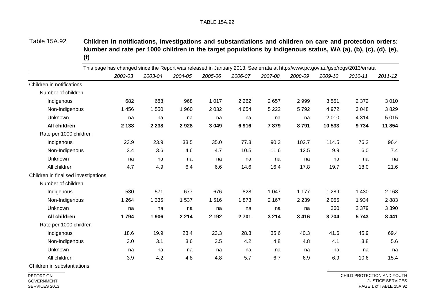Table 15A.92 **Children in notifications, investigations and substantiations and children on care and protection orders:** Number and rate per 1000 children in the target populations by Indigenous status, WA (a), (b), (c), (d), (e), **(f)**

|                                      | This page has changed since the Report was released in January 2013. See errata at http://www.pc.gov.au/gsp/rogs/2013/errata |         |         |         |         |         |         |         |         |             |
|--------------------------------------|------------------------------------------------------------------------------------------------------------------------------|---------|---------|---------|---------|---------|---------|---------|---------|-------------|
|                                      | 2002-03                                                                                                                      | 2003-04 | 2004-05 | 2005-06 | 2006-07 | 2007-08 | 2008-09 | 2009-10 | 2010-11 | $2011 - 12$ |
| Children in notifications            |                                                                                                                              |         |         |         |         |         |         |         |         |             |
| Number of children                   |                                                                                                                              |         |         |         |         |         |         |         |         |             |
| Indigenous                           | 682                                                                                                                          | 688     | 968     | 1 0 1 7 | 2 2 6 2 | 2657    | 2 9 9 9 | 3551    | 2 3 7 2 | 3 0 1 0     |
| Non-Indigenous                       | 1 4 5 6                                                                                                                      | 1550    | 1 960   | 2 0 3 2 | 4 6 5 4 | 5 2 2 2 | 5792    | 4 9 7 2 | 3 0 4 8 | 3829        |
| Unknown                              | na                                                                                                                           | na      | na      | na      | na      | na      | na      | 2010    | 4 3 1 4 | 5 0 1 5     |
| All children                         | 2 1 3 8                                                                                                                      | 2 2 3 8 | 2928    | 3 0 4 9 | 6916    | 7879    | 8791    | 10 533  | 9734    | 11 854      |
| Rate per 1000 children               |                                                                                                                              |         |         |         |         |         |         |         |         |             |
| Indigenous                           | 23.9                                                                                                                         | 23.9    | 33.5    | 35.0    | 77.3    | 90.3    | 102.7   | 114.5   | 76.2    | 96.4        |
| Non-Indigenous                       | 3.4                                                                                                                          | 3.6     | 4.6     | 4.7     | 10.5    | 11.6    | 12.5    | 9.9     | 6.0     | 7.4         |
| Unknown                              | na                                                                                                                           | na      | na      | na      | na      | na      | na      | na      | na      | na          |
| All children                         | 4.7                                                                                                                          | 4.9     | 6.4     | 6.6     | 14.6    | 16.4    | 17.8    | 19.7    | 18.0    | 21.6        |
| Children in finalised investigations |                                                                                                                              |         |         |         |         |         |         |         |         |             |
| Number of children                   |                                                                                                                              |         |         |         |         |         |         |         |         |             |
| Indigenous                           | 530                                                                                                                          | 571     | 677     | 676     | 828     | 1 0 4 7 | 1 177   | 1 2 8 9 | 1 4 3 0 | 2 1 6 8     |
| Non-Indigenous                       | 1 2 6 4                                                                                                                      | 1 3 3 5 | 1537    | 1516    | 1873    | 2 1 6 7 | 2 2 3 9 | 2 0 5 5 | 1934    | 2883        |
| Unknown                              | na                                                                                                                           | na      | na      | na      | na      | na      | na      | 360     | 2 3 7 9 | 3 3 9 0     |
| All children                         | 1794                                                                                                                         | 1 906   | 2 2 1 4 | 2 1 9 2 | 2701    | 3 2 1 4 | 3 4 1 6 | 3704    | 5743    | 8 4 4 1     |
| Rate per 1000 children               |                                                                                                                              |         |         |         |         |         |         |         |         |             |
| Indigenous                           | 18.6                                                                                                                         | 19.9    | 23.4    | 23.3    | 28.3    | 35.6    | 40.3    | 41.6    | 45.9    | 69.4        |
| Non-Indigenous                       | 3.0                                                                                                                          | 3.1     | 3.6     | 3.5     | 4.2     | 4.8     | 4.8     | 4.1     | 3.8     | 5.6         |
| Unknown                              | na                                                                                                                           | na      | na      | na      | na      | na      | na      | na      | na      | na          |
| All children                         | 3.9                                                                                                                          | 4.2     | 4.8     | 4.8     | 5.7     | 6.7     | 6.9     | 6.9     | 10.6    | 15.4        |

Children in substantiations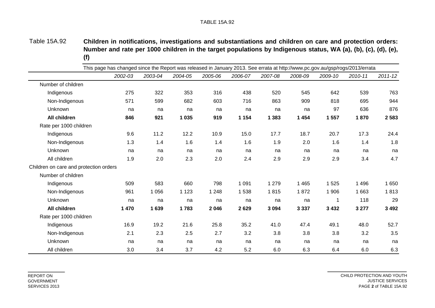Table 15A.92 **Children in notifications, investigations and substantiations and children on care and protection orders:** Number and rate per 1000 children in the target populations by Indigenous status, WA (a), (b), (c), (d), (e), **(f)**

|                                        | This page has changed since the Report was released in January 2013. See errata at http://www.pc.gov.au/gsp/rogs/2013/errata |         |         |         |         |         |         |         |         |             |  |  |  |
|----------------------------------------|------------------------------------------------------------------------------------------------------------------------------|---------|---------|---------|---------|---------|---------|---------|---------|-------------|--|--|--|
|                                        | 2002-03                                                                                                                      | 2003-04 | 2004-05 | 2005-06 | 2006-07 | 2007-08 | 2008-09 | 2009-10 | 2010-11 | $2011 - 12$ |  |  |  |
| Number of children                     |                                                                                                                              |         |         |         |         |         |         |         |         |             |  |  |  |
| Indigenous                             | 275                                                                                                                          | 322     | 353     | 316     | 438     | 520     | 545     | 642     | 539     | 763         |  |  |  |
| Non-Indigenous                         | 571                                                                                                                          | 599     | 682     | 603     | 716     | 863     | 909     | 818     | 695     | 944         |  |  |  |
| Unknown                                | na                                                                                                                           | na      | na      | na      | na      | na      | na      | 97      | 636     | 876         |  |  |  |
| All children                           | 846                                                                                                                          | 921     | 1 0 3 5 | 919     | 1 1 5 4 | 1 3 8 3 | 1 4 5 4 | 1 557   | 1870    | 2 5 8 3     |  |  |  |
| Rate per 1000 children                 |                                                                                                                              |         |         |         |         |         |         |         |         |             |  |  |  |
| Indigenous                             | 9.6                                                                                                                          | 11.2    | 12.2    | 10.9    | 15.0    | 17.7    | 18.7    | 20.7    | 17.3    | 24.4        |  |  |  |
| Non-Indigenous                         | 1.3                                                                                                                          | 1.4     | 1.6     | 1.4     | 1.6     | 1.9     | 2.0     | 1.6     | 1.4     | 1.8         |  |  |  |
| Unknown                                | na                                                                                                                           | na      | na      | na      | na      | na      | na      | na      | na      | na          |  |  |  |
| All children                           | 1.9                                                                                                                          | 2.0     | 2.3     | 2.0     | 2.4     | 2.9     | 2.9     | 2.9     | 3.4     | 4.7         |  |  |  |
| Children on care and protection orders |                                                                                                                              |         |         |         |         |         |         |         |         |             |  |  |  |
| Number of children                     |                                                                                                                              |         |         |         |         |         |         |         |         |             |  |  |  |
| Indigenous                             | 509                                                                                                                          | 583     | 660     | 798     | 1 0 9 1 | 1 2 7 9 | 1 4 6 5 | 1525    | 1 4 9 6 | 1 650       |  |  |  |
| Non-Indigenous                         | 961                                                                                                                          | 1 0 5 6 | 1 1 2 3 | 1 2 4 8 | 1538    | 1815    | 1872    | 1 906   | 1 6 6 3 | 1813        |  |  |  |
| Unknown                                | na                                                                                                                           | na      | na      | na      | na      | na      | na      | 1       | 118     | 29          |  |  |  |
| All children                           | 1 470                                                                                                                        | 1639    | 1783    | 2 0 4 6 | 2629    | 3 0 9 4 | 3 3 3 7 | 3 4 3 2 | 3 2 7 7 | 3 4 9 2     |  |  |  |
| Rate per 1000 children                 |                                                                                                                              |         |         |         |         |         |         |         |         |             |  |  |  |
| Indigenous                             | 16.9                                                                                                                         | 19.2    | 21.6    | 25.8    | 35.2    | 41.0    | 47.4    | 49.1    | 48.0    | 52.7        |  |  |  |
| Non-Indigenous                         | 2.1                                                                                                                          | 2.3     | 2.5     | 2.7     | 3.2     | 3.8     | 3.8     | 3.8     | 3.2     | 3.5         |  |  |  |
| Unknown                                | na                                                                                                                           | na      | na      | na      | na      | na      | na      | na      | na      | na          |  |  |  |
| All children                           | 3.0                                                                                                                          | 3.4     | 3.7     | 4.2     | 5.2     | 6.0     | 6.3     | 6.4     | 6.0     | 6.3         |  |  |  |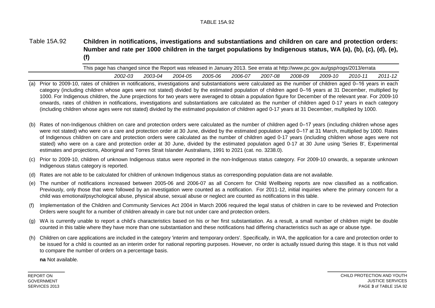#### Table 15A.92 **Children in notifications, investigations and substantiations and children on care and protection orders:** Number and rate per 1000 children in the target populations by Indigenous status, WA (a), (b), (c), (d), (e), **(f)**

| This page has changed since the Report was released in January 2013. See errata at http://www.pc.gov.au/gsp/rogs/2013/errata |         |         |         |         |         |         |         |         |         |
|------------------------------------------------------------------------------------------------------------------------------|---------|---------|---------|---------|---------|---------|---------|---------|---------|
| 2002-03                                                                                                                      | 2003-04 | 2004-05 | 2005-06 | 2006-07 | 2007-08 | 2008-09 | 2009-10 | 2010-11 | 2011-12 |

- (a) Prior to 2009-10, rates of children in notifications, investigations and substantiations were calculated as the number of children aged 0–16 years in each category (including children whose ages were not stated) divided by the estimated population of children aged 0–16 years at 31 December, multiplied by 1000. For Indigenous children, the June projections for two years were averaged to obtain a population figure for December of the relevant year. For 2009-10 onwards, rates of children in notifications, investigations and substantiations are calculated as the number of children aged 0-17 years in each category (including children whose ages were not stated) divided by the estimated population of children aged 0-17 years at 31 December, multiplied by 1000.
- (b) Rates of non-Indigenous children on care and protection orders were calculated as the number of children aged 0–17 years (including children whose ages were not stated) who were on a care and protection order at 30 June, divided by the estimated population aged 0–17 at 31 March, multiplied by 1000. Rates of Indigenous children on care and protection orders were calculated as the number of children aged 0-17 years (including children whose ages were not stated) who were on a care and protection order at 30 June, divided by the estimated population aged 0-17 at 30 June using 'Series B', Experimental estimates and projections, Aboriginal and Torres Strait Islander Australians, 1991 to 2021 (cat. no. 3238.0).
- (c) Prior to 2009-10, children of unknown Indigenous status were reported in the non-Indigenous status category. For 2009-10 onwards, a separate unknown Indigenous status category is reported.
- (d) Rates are not able to be calculated for children of unknown Indigenous status as corresponding population data are not available.
- (e) The number of notifications increased between 2005-06 and 2006-07 as all Concern for Child Wellbeing reports are now classified as a notification. Previously, only those that were followed by an investigation were counted as a notification. For 2011-12, initial inquiries where the primary concern for a child was emotional/psychological abuse, physical abuse, sexual abuse or neglect are counted as notifications in this table.
- (f) Implementation of the Children and Community Services Act 2004 in March 2006 required the legal status of children in care to be reviewed and Protection Orders were sought for a number of children already in care but not under care and protection orders.
- (g) WA is currently unable to report a child's characteristics based on his or her first substantiation. As a result, a small number of children might be double counted in this table where they have more than one substantiation and these notifications had differing characteristics such as age or abuse type.
- (h) Children on care applications are included in the category 'interim and temporary orders'. Specifically, in WA, the application for a care and protection order to be issued for a child is counted as an interim order for national reporting purposes. However, no order is actually issued during this stage. It is thus not valid to compare the number of orders on a percentage basis.

**na** Not available.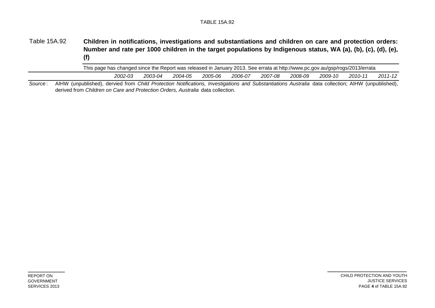#### Table 15A.92 **Children in notifications, investigations and substantiations and children on care and protection orders:** Number and rate per 1000 children in the target populations by Indigenous status, WA (a), (b), (c), (d), (e), **(f)**

| 2002-03<br>2003-04<br>2007-08<br>2008-09<br>2005-06<br>2004-05<br>2006-07<br>2009-10 | 2010-11 | 2011-12 |
|--------------------------------------------------------------------------------------|---------|---------|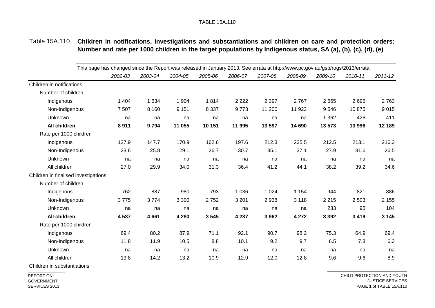## Table 15A.110 **Children in notifications, investigations and substantiations and children on care and protection orders: Number and rate per 1000 children in the target populations by Indigenous status, SA (a), (b), (c), (d), (e)**

|                                      | This page has changed since the Report was released in January 2013. See errata at http://www.pc.gov.au/gsp/rogs/2013/errata |         |         |         |         |         |         |         |         |             |
|--------------------------------------|------------------------------------------------------------------------------------------------------------------------------|---------|---------|---------|---------|---------|---------|---------|---------|-------------|
|                                      | 2002-03                                                                                                                      | 2003-04 | 2004-05 | 2005-06 | 2006-07 | 2007-08 | 2008-09 | 2009-10 | 2010-11 | $2011 - 12$ |
| Children in notifications            |                                                                                                                              |         |         |         |         |         |         |         |         |             |
| Number of children                   |                                                                                                                              |         |         |         |         |         |         |         |         |             |
| Indigenous                           | 1 4 0 4                                                                                                                      | 1 6 3 4 | 1 9 0 4 | 1814    | 2 2 2 2 | 2 3 9 7 | 2767    | 2 6 6 5 | 2695    | 2763        |
| Non-Indigenous                       | 7 5 0 7                                                                                                                      | 8 1 6 0 | 9 1 5 1 | 8 3 3 7 | 9773    | 11 200  | 11 923  | 9546    | 10875   | 9015        |
| Unknown                              | na                                                                                                                           | na      | na      | na      | na      | na      | na      | 1 3 6 2 | 426     | 411         |
| All children                         | 8911                                                                                                                         | 9794    | 11 055  | 10 151  | 11 995  | 13 597  | 14 690  | 13 573  | 13 996  | 12 189      |
| Rate per 1000 children               |                                                                                                                              |         |         |         |         |         |         |         |         |             |
| Indigenous                           | 127.9                                                                                                                        | 147.7   | 170.9   | 162.6   | 197.6   | 212.3   | 235.5   | 212.5   | 213.1   | 216.3       |
| Non-Indigenous                       | 23.6                                                                                                                         | 25.8    | 29.1    | 26.7    | 30.7    | 35.1    | 37.1    | 27.9    | 31.6    | 26.5        |
| Unknown                              | na                                                                                                                           | na      | na      | na      | na      | na      | na      | na      | na      | na          |
| All children                         | 27.0                                                                                                                         | 29.9    | 34.0    | 31.3    | 36.4    | 41.2    | 44.1    | 38.2    | 39.2    | 34.6        |
| Children in finalised investigations |                                                                                                                              |         |         |         |         |         |         |         |         |             |
| Number of children                   |                                                                                                                              |         |         |         |         |         |         |         |         |             |
| Indigenous                           | 762                                                                                                                          | 887     | 980     | 793     | 1 0 3 6 | 1 0 2 4 | 1 1 5 4 | 944     | 821     | 886         |
| Non-Indigenous                       | 3775                                                                                                                         | 3774    | 3 3 0 0 | 2752    | 3 2 0 1 | 2938    | 3 1 1 8 | 2 2 1 5 | 2 5 0 3 | 2 1 5 5     |
| Unknown                              | na                                                                                                                           | na      | na      | na      | na      | na      | na      | 233     | 95      | 104         |
| All children                         | 4 5 3 7                                                                                                                      | 4661    | 4 2 8 0 | 3 5 4 5 | 4 2 3 7 | 3962    | 4 2 7 2 | 3 3 9 2 | 3 4 1 9 | 3 1 4 5     |
| Rate per 1000 children               |                                                                                                                              |         |         |         |         |         |         |         |         |             |
| Indigenous                           | 69.4                                                                                                                         | 80.2    | 87.9    | 71.1    | 92.1    | 90.7    | 98.2    | 75.3    | 64.9    | 69.4        |
| Non-Indigenous                       | 11.8                                                                                                                         | 11.9    | 10.5    | 8.8     | 10.1    | 9.2     | 9.7     | 6.5     | 7.3     | 6.3         |
| Unknown                              | na                                                                                                                           | na      | na      | na      | na      | na      | na      | na      | na      | na          |
| All children                         | 13.8                                                                                                                         | 14.2    | 13.2    | 10.9    | 12.9    | 12.0    | 12.8    | 9.6     | 9.6     | 8.9         |

Children in substantiations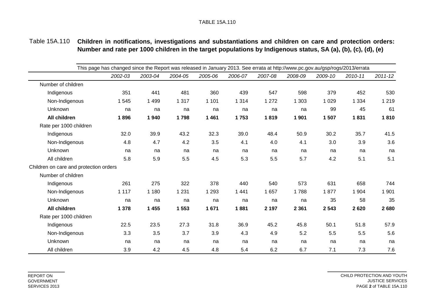## Table 15A.110 **Children in notifications, investigations and substantiations and children on care and protection orders: Number and rate per 1000 children in the target populations by Indigenous status, SA (a), (b), (c), (d), (e)**

|                                        | This page has changed since the Report was released in January 2013. See errata at http://www.pc.gov.au/gsp/rogs/2013/errata |         |         |         |         |         |         |         |         |             |
|----------------------------------------|------------------------------------------------------------------------------------------------------------------------------|---------|---------|---------|---------|---------|---------|---------|---------|-------------|
|                                        | 2002-03                                                                                                                      | 2003-04 | 2004-05 | 2005-06 | 2006-07 | 2007-08 | 2008-09 | 2009-10 | 2010-11 | $2011 - 12$ |
| Number of children                     |                                                                                                                              |         |         |         |         |         |         |         |         |             |
| Indigenous                             | 351                                                                                                                          | 441     | 481     | 360     | 439     | 547     | 598     | 379     | 452     | 530         |
| Non-Indigenous                         | 1 5 4 5                                                                                                                      | 1 4 9 9 | 1 3 1 7 | 1 1 0 1 | 1 3 1 4 | 1 2 7 2 | 1 3 0 3 | 1 0 2 9 | 1 3 3 4 | 1 2 1 9     |
| Unknown                                | na                                                                                                                           | na      | na      | na      | na      | na      | na      | 99      | 45      | 61          |
| All children                           | 1896                                                                                                                         | 1940    | 1798    | 1 4 6 1 | 1753    | 1819    | 1 901   | 1507    | 1831    | 1810        |
| Rate per 1000 children                 |                                                                                                                              |         |         |         |         |         |         |         |         |             |
| Indigenous                             | 32.0                                                                                                                         | 39.9    | 43.2    | 32.3    | 39.0    | 48.4    | 50.9    | 30.2    | 35.7    | 41.5        |
| Non-Indigenous                         | 4.8                                                                                                                          | 4.7     | 4.2     | 3.5     | 4.1     | 4.0     | 4.1     | 3.0     | 3.9     | 3.6         |
| Unknown                                | na                                                                                                                           | na      | na      | na      | na      | na      | na      | na      | na      | na          |
| All children                           | 5.8                                                                                                                          | 5.9     | 5.5     | 4.5     | 5.3     | 5.5     | 5.7     | 4.2     | 5.1     | 5.1         |
| Children on care and protection orders |                                                                                                                              |         |         |         |         |         |         |         |         |             |
| Number of children                     |                                                                                                                              |         |         |         |         |         |         |         |         |             |
| Indigenous                             | 261                                                                                                                          | 275     | 322     | 378     | 440     | 540     | 573     | 631     | 658     | 744         |
| Non-Indigenous                         | 1 1 1 7                                                                                                                      | 1 1 8 0 | 1 2 3 1 | 1 2 9 3 | 1 4 4 1 | 1 6 5 7 | 1788    | 1877    | 1 904   | 1 901       |
| Unknown                                | na                                                                                                                           | na      | na      | na      | na      | na      | na      | 35      | 58      | 35          |
| All children                           | 1 378                                                                                                                        | 1 4 5 5 | 1 5 5 3 | 1671    | 1881    | 2 1 9 7 | 2 3 6 1 | 2 5 4 3 | 2620    | 2680        |
| Rate per 1000 children                 |                                                                                                                              |         |         |         |         |         |         |         |         |             |
| Indigenous                             | 22.5                                                                                                                         | 23.5    | 27.3    | 31.8    | 36.9    | 45.2    | 45.8    | 50.1    | 51.8    | 57.9        |
| Non-Indigenous                         | 3.3                                                                                                                          | 3.5     | 3.7     | 3.9     | 4.3     | 4.9     | 5.2     | 5.5     | 5.5     | 5.6         |
| Unknown                                | na                                                                                                                           | na      | na      | na      | na      | na      | na      | na      | na      | na          |
| All children                           | 3.9                                                                                                                          | 4.2     | 4.5     | 4.8     | 5.4     | 6.2     | 6.7     | 7.1     | 7.3     | 7.6         |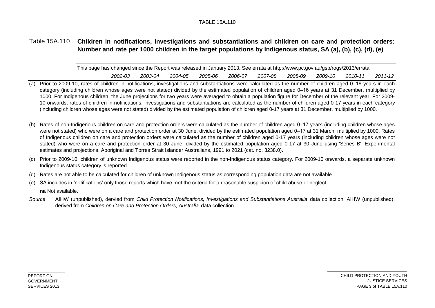## Table 15A.110 **Children in notifications, investigations and substantiations and children on care and protection orders: Number and rate per 1000 children in the target populations by Indigenous status, SA (a), (b), (c), (d), (e)**

| This page has changed since the Report was released in January 2013. See errata at http://www.pc.gov.au/gsp/rogs/2013/errata |         |                                 |  |                  |                  |         |
|------------------------------------------------------------------------------------------------------------------------------|---------|---------------------------------|--|------------------|------------------|---------|
| 2002-03                                                                                                                      | 2003-04 | 2 <i>004-05 2005-06 2006-07</i> |  | 2007-08  2008-09 | 2009-10  2010-11 | 2011-12 |

- (a) Prior to 2009-10, rates of children in notifications, investigations and substantiations were calculated as the number of children aged 0–16 years in each category (including children whose ages were not stated) divided by the estimated population of children aged 0–16 years at 31 December, multiplied by 1000. For Indigenous children, the June projections for two years were averaged to obtain a population figure for December of the relevant year. For 2009- 10 onwards, rates of children in notifications, investigations and substantiations are calculated as the number of children aged 0-17 years in each category (including children whose ages were not stated) divided by the estimated population of children aged 0-17 years at 31 December, multiplied by 1000.
- (b) Rates of non-Indigenous children on care and protection orders were calculated as the number of children aged 0–17 years (including children whose ages were not stated) who were on a care and protection order at 30 June, divided by the estimated population aged 0–17 at 31 March, multiplied by 1000. Rates of Indigenous children on care and protection orders were calculated as the number of children aged 0-17 years (including children whose ages were not stated) who were on a care and protection order at 30 June, divided by the estimated population aged 0-17 at 30 June using 'Series B', Experimental estimates and projections, Aboriginal and Torres Strait Islander Australians, 1991 to 2021 (cat. no. 3238.0).
- (c) Prior to 2009-10, children of unknown Indigenous status were reported in the non-Indigenous status category. For 2009-10 onwards, a separate unknown Indigenous status category is reported.
- (d) Rates are not able to be calculated for children of unknown Indigenous status as corresponding population data are not available.
- (e) SA includes in 'notifications' only those reports which have met the criteria for a reasonable suspicion of child abuse or neglect.
	- **na** Not available.
- *Source* : AIHW (unpublished), dervied from *Child Protection Notifications, Investigations and Substantiations Australia* data collection; AIHW (unpublished), derived from *Children on Care and Protection Orders, Australia* data collection.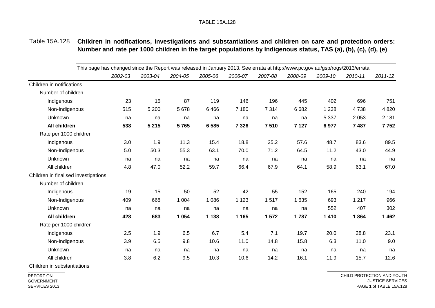### Table 15A.128 **Children in notifications, investigations and substantiations and children on care and protection orders: Number and rate per 1000 children in the target populations by Indigenous status, TAS (a), (b), (c), (d), (e)**

|                                      | This page has changed since the Report was released in January 2013. See errata at http://www.pc.gov.au/gsp/rogs/2013/errata |         |         |         |         |         |         |         |         |             |
|--------------------------------------|------------------------------------------------------------------------------------------------------------------------------|---------|---------|---------|---------|---------|---------|---------|---------|-------------|
|                                      | 2002-03                                                                                                                      | 2003-04 | 2004-05 | 2005-06 | 2006-07 | 2007-08 | 2008-09 | 2009-10 | 2010-11 | $2011 - 12$ |
| Children in notifications            |                                                                                                                              |         |         |         |         |         |         |         |         |             |
| Number of children                   |                                                                                                                              |         |         |         |         |         |         |         |         |             |
| Indigenous                           | 23                                                                                                                           | 15      | 87      | 119     | 146     | 196     | 445     | 402     | 696     | 751         |
| Non-Indigenous                       | 515                                                                                                                          | 5 200   | 5678    | 6466    | 7 1 8 0 | 7 3 1 4 | 6682    | 1 2 3 8 | 4738    | 4 8 20      |
| Unknown                              | na                                                                                                                           | na      | na      | na      | na      | na      | na      | 5 3 3 7 | 2 0 5 3 | 2 1 8 1     |
| All children                         | 538                                                                                                                          | 5 2 1 5 | 5765    | 6 5 8 5 | 7 3 2 6 | 7510    | 7 1 2 7 | 6977    | 7 4 8 7 | 7752        |
| Rate per 1000 children               |                                                                                                                              |         |         |         |         |         |         |         |         |             |
| Indigenous                           | 3.0                                                                                                                          | 1.9     | 11.3    | 15.4    | 18.8    | 25.2    | 57.6    | 48.7    | 83.6    | 89.5        |
| Non-Indigenous                       | 5.0                                                                                                                          | 50.3    | 55.3    | 63.1    | 70.0    | 71.2    | 64.5    | 11.2    | 43.0    | 44.9        |
| Unknown                              | na                                                                                                                           | na      | na      | na      | na      | na      | na      | na      | na      | na          |
| All children                         | 4.8                                                                                                                          | 47.0    | 52.2    | 59.7    | 66.4    | 67.9    | 64.1    | 58.9    | 63.1    | 67.0        |
| Children in finalised investigations |                                                                                                                              |         |         |         |         |         |         |         |         |             |
| Number of children                   |                                                                                                                              |         |         |         |         |         |         |         |         |             |
| Indigenous                           | 19                                                                                                                           | 15      | 50      | 52      | 42      | 55      | 152     | 165     | 240     | 194         |
| Non-Indigenous                       | 409                                                                                                                          | 668     | 1 0 0 4 | 1 0 8 6 | 1 1 2 3 | 1517    | 1 6 3 5 | 693     | 1 2 1 7 | 966         |
| Unknown                              | na                                                                                                                           | na      | na      | na      | na      | na      | na      | 552     | 407     | 302         |
| All children                         | 428                                                                                                                          | 683     | 1 0 5 4 | 1 1 3 8 | 1 1 6 5 | 1572    | 1787    | 1 4 1 0 | 1864    | 1 4 6 2     |
| Rate per 1000 children               |                                                                                                                              |         |         |         |         |         |         |         |         |             |
| Indigenous                           | 2.5                                                                                                                          | 1.9     | 6.5     | 6.7     | 5.4     | 7.1     | 19.7    | 20.0    | 28.8    | 23.1        |
| Non-Indigenous                       | 3.9                                                                                                                          | 6.5     | 9.8     | 10.6    | 11.0    | 14.8    | 15.8    | 6.3     | 11.0    | 9.0         |
| Unknown                              | na                                                                                                                           | na      | na      | na      | na      | na      | na      | na      | na      | na          |
| All children                         | 3.8                                                                                                                          | 6.2     | 9.5     | 10.3    | 10.6    | 14.2    | 16.1    | 11.9    | 15.7    | 12.6        |
|                                      |                                                                                                                              |         |         |         |         |         |         |         |         |             |

Children in substantiations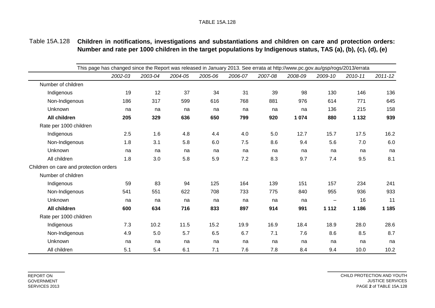## Table 15A.128 **Children in notifications, investigations and substantiations and children on care and protection orders: Number and rate per 1000 children in the target populations by Indigenous status, TAS (a), (b), (c), (d), (e)**

|                                        | This page has changed since the Report was released in January 2013. See errata at http://www.pc.gov.au/gsp/rogs/2013/errata |         |         |         |         |         |         |                 |         |             |
|----------------------------------------|------------------------------------------------------------------------------------------------------------------------------|---------|---------|---------|---------|---------|---------|-----------------|---------|-------------|
|                                        | 2002-03                                                                                                                      | 2003-04 | 2004-05 | 2005-06 | 2006-07 | 2007-08 | 2008-09 | 2009-10         | 2010-11 | $2011 - 12$ |
| Number of children                     |                                                                                                                              |         |         |         |         |         |         |                 |         |             |
| Indigenous                             | 19                                                                                                                           | 12      | 37      | 34      | 31      | 39      | 98      | 130             | 146     | 136         |
| Non-Indigenous                         | 186                                                                                                                          | 317     | 599     | 616     | 768     | 881     | 976     | 614             | 771     | 645         |
| Unknown                                | na                                                                                                                           | na      | na      | na      | na      | na      | na      | 136             | 215     | 158         |
| All children                           | 205                                                                                                                          | 329     | 636     | 650     | 799     | 920     | 1 0 7 4 | 880             | 1 1 3 2 | 939         |
| Rate per 1000 children                 |                                                                                                                              |         |         |         |         |         |         |                 |         |             |
| Indigenous                             | 2.5                                                                                                                          | 1.6     | 4.8     | 4.4     | 4.0     | 5.0     | 12.7    | 15.7            | 17.5    | 16.2        |
| Non-Indigenous                         | 1.8                                                                                                                          | 3.1     | 5.8     | 6.0     | 7.5     | 8.6     | 9.4     | 5.6             | 7.0     | 6.0         |
| Unknown                                | na                                                                                                                           | na      | na      | na      | na      | na      | na      | na              | na      | na          |
| All children                           | 1.8                                                                                                                          | 3.0     | 5.8     | 5.9     | 7.2     | 8.3     | 9.7     | 7.4             | 9.5     | 8.1         |
| Children on care and protection orders |                                                                                                                              |         |         |         |         |         |         |                 |         |             |
| Number of children                     |                                                                                                                              |         |         |         |         |         |         |                 |         |             |
| Indigenous                             | 59                                                                                                                           | 83      | 94      | 125     | 164     | 139     | 151     | 157             | 234     | 241         |
| Non-Indigenous                         | 541                                                                                                                          | 551     | 622     | 708     | 733     | 775     | 840     | 955             | 936     | 933         |
| Unknown                                | na                                                                                                                           | na      | na      | na      | na      | na      | na      | $\qquad \qquad$ | 16      | 11          |
| <b>All children</b>                    | 600                                                                                                                          | 634     | 716     | 833     | 897     | 914     | 991     | 1 1 1 2         | 1 1 8 6 | 1 1 8 5     |
| Rate per 1000 children                 |                                                                                                                              |         |         |         |         |         |         |                 |         |             |
| Indigenous                             | 7.3                                                                                                                          | 10.2    | 11.5    | 15.2    | 19.9    | 16.9    | 18.4    | 18.9            | 28.0    | 28.6        |
| Non-Indigenous                         | 4.9                                                                                                                          | 5.0     | 5.7     | 6.5     | 6.7     | 7.1     | 7.6     | 8.6             | 8.5     | 8.7         |
| Unknown                                | na                                                                                                                           | na      | na      | na      | na      | na      | na      | na              | na      | na          |
| All children                           | 5.1                                                                                                                          | 5.4     | 6.1     | 7.1     | 7.6     | 7.8     | 8.4     | 9.4             | 10.0    | 10.2        |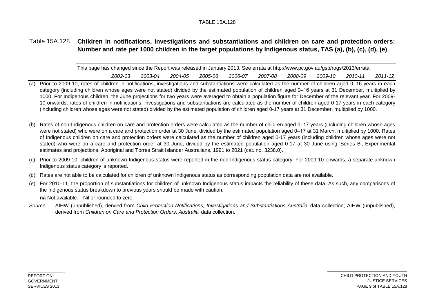## Table 15A.128 **Children in notifications, investigations and substantiations and children on care and protection orders: Number and rate per 1000 children in the target populations by Indigenous status, TAS (a), (b), (c), (d), (e)**

| This page has changed since the Report was released in January 2013. See errata at http://www.pc.gov.au/gsp/rogs/2013/errata |         |         |         |         |         |         |         |         |             |
|------------------------------------------------------------------------------------------------------------------------------|---------|---------|---------|---------|---------|---------|---------|---------|-------------|
| 2002-03                                                                                                                      | 2003-04 | 2004-05 | 2005-06 | 2006-07 | 2007-08 | 2008-09 | 2009-10 | 2010-11 | $2011 - 12$ |

- (a) Prior to 2009-10, rates of children in notifications, investigations and substantiations were calculated as the number of children aged 0–16 years in each category (including children whose ages were not stated) divided by the estimated population of children aged 0–16 years at 31 December, multiplied by 1000. For Indigenous children, the June projections for two years were averaged to obtain a population figure for December of the relevant year. For 2009- 10 onwards, rates of children in notifications, investigations and substantiations are calculated as the number of children aged 0-17 years in each category (including children whose ages were not stated) divided by the estimated population of children aged 0-17 years at 31 December, multiplied by 1000.
- (b) Rates of non-Indigenous children on care and protection orders were calculated as the number of children aged 0–17 years (including children whose ages were not stated) who were on a care and protection order at 30 June, divided by the estimated population aged 0–17 at 31 March, multiplied by 1000. Rates of Indigenous children on care and protection orders were calculated as the number of children aged 0-17 years (including children whose ages were not stated) who were on a care and protection order at 30 June, divided by the estimated population aged 0-17 at 30 June using 'Series B', Experimental estimates and projections, Aboriginal and Torres Strait Islander Australians, 1991 to 2021 (cat. no. 3238.0).
- (c) Prior to 2009-10, children of unknown Indigenous status were reported in the non-Indigenous status category. For 2009-10 onwards, a separate unknown Indigenous status category is reported.
- (d) Rates are not able to be calculated for children of unknown Indigenous status as corresponding population data are not available.
- (e) For 2010-11, the proportion of substantiations for children of unknown Indigenous status impacts the reliability of these data. As such, any comparisons of the Indigenous status breakdown to previous years should be made with caution.

**na** Not available. – Nil or rounded to zero.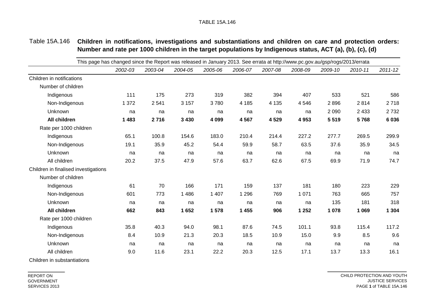|                                      | This page has changed since the Report was released in January 2013. See errata at http://www.pc.gov.au/gsp/rogs/2013/errata |         |         |         |         |         |         |         |         |             |
|--------------------------------------|------------------------------------------------------------------------------------------------------------------------------|---------|---------|---------|---------|---------|---------|---------|---------|-------------|
|                                      | 2002-03                                                                                                                      | 2003-04 | 2004-05 | 2005-06 | 2006-07 | 2007-08 | 2008-09 | 2009-10 | 2010-11 | $2011 - 12$ |
| Children in notifications            |                                                                                                                              |         |         |         |         |         |         |         |         |             |
| Number of children                   |                                                                                                                              |         |         |         |         |         |         |         |         |             |
| Indigenous                           | 111                                                                                                                          | 175     | 273     | 319     | 382     | 394     | 407     | 533     | 521     | 586         |
| Non-Indigenous                       | 1 3 7 2                                                                                                                      | 2 5 4 1 | 3 1 5 7 | 3780    | 4 1 8 5 | 4 1 3 5 | 4 5 4 6 | 2896    | 2814    | 2718        |
| Unknown                              | na                                                                                                                           | na      | na      | na      | na      | na      | na      | 2 0 9 0 | 2 4 3 3 | 2 7 3 2     |
| All children                         | 1 4 8 3                                                                                                                      | 2716    | 3 4 3 0 | 4 0 9 9 | 4567    | 4 5 29  | 4 9 5 3 | 5 5 1 9 | 5768    | 6 0 36      |
| Rate per 1000 children               |                                                                                                                              |         |         |         |         |         |         |         |         |             |
| Indigenous                           | 65.1                                                                                                                         | 100.8   | 154.6   | 183.0   | 210.4   | 214.4   | 227.2   | 277.7   | 269.5   | 299.9       |
| Non-Indigenous                       | 19.1                                                                                                                         | 35.9    | 45.2    | 54.4    | 59.9    | 58.7    | 63.5    | 37.6    | 35.9    | 34.5        |
| Unknown                              | na                                                                                                                           | na      | na      | na      | na      | na      | na      | na      | na      | na          |
| All children                         | 20.2                                                                                                                         | 37.5    | 47.9    | 57.6    | 63.7    | 62.6    | 67.5    | 69.9    | 71.9    | 74.7        |
| Children in finalised investigations |                                                                                                                              |         |         |         |         |         |         |         |         |             |
| Number of children                   |                                                                                                                              |         |         |         |         |         |         |         |         |             |
| Indigenous                           | 61                                                                                                                           | 70      | 166     | 171     | 159     | 137     | 181     | 180     | 223     | 229         |
| Non-Indigenous                       | 601                                                                                                                          | 773     | 1 4 8 6 | 1 407   | 1 2 9 6 | 769     | 1 0 7 1 | 763     | 665     | 757         |
| Unknown                              | na                                                                                                                           | na      | na      | na      | na      | na      | na      | 135     | 181     | 318         |
| All children                         | 662                                                                                                                          | 843     | 1652    | 1 578   | 1 4 5 5 | 906     | 1 2 5 2 | 1 0 7 8 | 1 0 6 9 | 1 3 0 4     |
| Rate per 1000 children               |                                                                                                                              |         |         |         |         |         |         |         |         |             |
| Indigenous                           | 35.8                                                                                                                         | 40.3    | 94.0    | 98.1    | 87.6    | 74.5    | 101.1   | 93.8    | 115.4   | 117.2       |
| Non-Indigenous                       | 8.4                                                                                                                          | 10.9    | 21.3    | 20.3    | 18.5    | 10.9    | 15.0    | 9.9     | 8.5     | 9.6         |
| Unknown                              | na                                                                                                                           | na      | na      | na      | na      | na      | na      | na      | na      | na          |
| All children                         | 9.0                                                                                                                          | 11.6    | 23.1    | 22.2    | 20.3    | 12.5    | 17.1    | 13.7    | 13.3    | 16.1        |
|                                      |                                                                                                                              |         |         |         |         |         |         |         |         |             |

## Table 15A.146 **Children in notifications, investigations and substantiations and children on care and protection orders: Number and rate per 1000 children in the target populations by Indigenous status, ACT (a), (b), (c), (d)**

Children in substantiations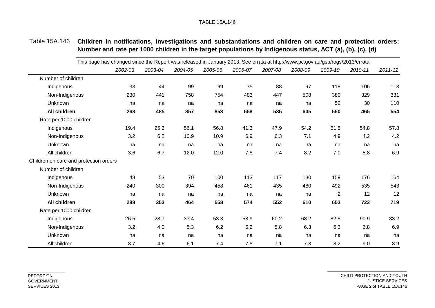| Table 15A.146 Children in notifications, investigations and substantiations and children on care and protection orders: |
|-------------------------------------------------------------------------------------------------------------------------|
| Number and rate per 1000 children in the target populations by Indigenous status, ACT (a), (b), (c), (d)                |

|                                        | This page has changed since the Report was released in January 2013. See errata at http://www.pc.gov.au/gsp/rogs/2013/errata |         |         |         |         |         |         |                |         |             |
|----------------------------------------|------------------------------------------------------------------------------------------------------------------------------|---------|---------|---------|---------|---------|---------|----------------|---------|-------------|
|                                        | 2002-03                                                                                                                      | 2003-04 | 2004-05 | 2005-06 | 2006-07 | 2007-08 | 2008-09 | 2009-10        | 2010-11 | $2011 - 12$ |
| Number of children                     |                                                                                                                              |         |         |         |         |         |         |                |         |             |
| Indigenous                             | 33                                                                                                                           | 44      | 99      | 99      | 75      | 88      | 97      | 118            | 106     | 113         |
| Non-Indigenous                         | 230                                                                                                                          | 441     | 758     | 754     | 483     | 447     | 508     | 380            | 329     | 331         |
| Unknown                                | na                                                                                                                           | na      | na      | na      | na      | na      | na      | 52             | 30      | 110         |
| All children                           | 263                                                                                                                          | 485     | 857     | 853     | 558     | 535     | 605     | 550            | 465     | 554         |
| Rate per 1000 children                 |                                                                                                                              |         |         |         |         |         |         |                |         |             |
| Indigenous                             | 19.4                                                                                                                         | 25.3    | 56.1    | 56.8    | 41.3    | 47.9    | 54.2    | 61.5           | 54.8    | 57.8        |
| Non-Indigenous                         | 3.2                                                                                                                          | 6.2     | 10.9    | 10.9    | 6.9     | 6.3     | 7.1     | 4.9            | 4.2     | 4.2         |
| Unknown                                | na                                                                                                                           | na      | na      | na      | na      | na      | na      | na             | na      | na          |
| All children                           | 3.6                                                                                                                          | 6.7     | 12.0    | 12.0    | 7.8     | 7.4     | 8.2     | 7.0            | 5.8     | 6.9         |
| Children on care and protection orders |                                                                                                                              |         |         |         |         |         |         |                |         |             |
| Number of children                     |                                                                                                                              |         |         |         |         |         |         |                |         |             |
| Indigenous                             | 48                                                                                                                           | 53      | 70      | 100     | 113     | 117     | 130     | 159            | 176     | 164         |
| Non-Indigenous                         | 240                                                                                                                          | 300     | 394     | 458     | 461     | 435     | 480     | 492            | 535     | 543         |
| Unknown                                | na                                                                                                                           | na      | na      | na      | na      | na      | na      | $\overline{c}$ | 12      | 12          |
| All children                           | 288                                                                                                                          | 353     | 464     | 558     | 574     | 552     | 610     | 653            | 723     | 719         |
| Rate per 1000 children                 |                                                                                                                              |         |         |         |         |         |         |                |         |             |
| Indigenous                             | 26.5                                                                                                                         | 28.7    | 37.4    | 53.3    | 58.9    | 60.2    | 68.2    | 82.5           | 90.9    | 83.2        |
| Non-Indigenous                         | 3.2                                                                                                                          | 4.0     | 5.3     | 6.2     | 6.2     | 5.8     | 6.3     | 6.3            | 6.8     | 6.9         |
| Unknown                                | na                                                                                                                           | na      | na      | na      | na      | na      | na      | na             | na      | na          |
| All children                           | 3.7                                                                                                                          | 4.6     | 6.1     | 7.4     | 7.5     | 7.1     | 7.8     | 8.2            | 9.0     | 8.9         |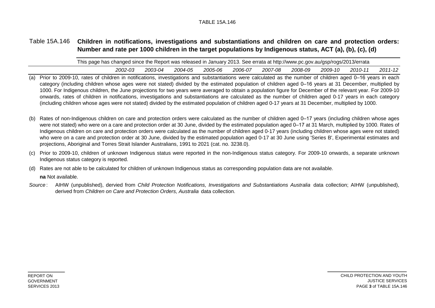## Table 15A.146 **Children in notifications, investigations and substantiations and children on care and protection orders: Number and rate per 1000 children in the target populations by Indigenous status, ACT (a), (b), (c), (d)**

| This page has changed since the Report was released in January 2013. See errata at http://www.pc.gov.au/gsp/rogs/2013/errata |         |         |         |         |         |         |         |         |             |
|------------------------------------------------------------------------------------------------------------------------------|---------|---------|---------|---------|---------|---------|---------|---------|-------------|
| 2002-03                                                                                                                      | 2003-04 | 2004-05 | 2005-06 | 2006-07 | 2007-08 | 2008-09 | 2009-10 | 2010-11 | $2011 - 12$ |

- (a) Prior to 2009-10, rates of children in notifications, investigations and substantiations were calculated as the number of children aged 0–16 years in each category (including children whose ages were not stated) divided by the estimated population of children aged 0–16 years at 31 December, multiplied by 1000. For Indigenous children, the June projections for two years were averaged to obtain a population figure for December of the relevant year. For 2009-10 onwards, rates of children in notifications, investigations and substantiations are calculated as the number of children aged 0-17 years in each category (including children whose ages were not stated) divided by the estimated population of children aged 0-17 years at 31 December, multiplied by 1000.
- (b) Rates of non-Indigenous children on care and protection orders were calculated as the number of children aged 0–17 years (including children whose ages were not stated) who were on a care and protection order at 30 June, divided by the estimated population aged 0–17 at 31 March, multiplied by 1000. Rates of Indigenous children on care and protection orders were calculated as the number of children aged 0-17 years (including children whose ages were not stated) who were on a care and protection order at 30 June, divided by the estimated population aged 0-17 at 30 June using 'Series B', Experimental estimates and projections, Aboriginal and Torres Strait Islander Australians, 1991 to 2021 (cat. no. 3238.0).
- (c) Prior to 2009-10, children of unknown Indigenous status were reported in the non-Indigenous status category. For 2009-10 onwards, a separate unknown Indigenous status category is reported.

(d) Rates are not able to be calculated for children of unknown Indigenous status as corresponding population data are not available.

**na** Not available.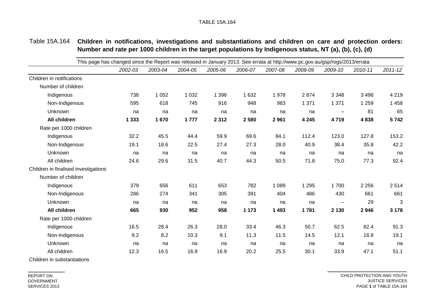| Table 15A.164 Children in notifications, investigations and substantiations and children on care and protection orders: |  |
|-------------------------------------------------------------------------------------------------------------------------|--|
| Number and rate per 1000 children in the target populations by Indigenous status, NT (a), (b), (c), (d)                 |  |

| This page has changed since the Report was released in January 2013. See errata at http://www.pc.gov.au/gsp/rogs/2013/errata |         |         |         |         |         |         |         |                          |         |             |
|------------------------------------------------------------------------------------------------------------------------------|---------|---------|---------|---------|---------|---------|---------|--------------------------|---------|-------------|
|                                                                                                                              | 2002-03 | 2003-04 | 2004-05 | 2005-06 | 2006-07 | 2007-08 | 2008-09 | 2009-10                  | 2010-11 | $2011 - 12$ |
| Children in notifications                                                                                                    |         |         |         |         |         |         |         |                          |         |             |
| Number of children                                                                                                           |         |         |         |         |         |         |         |                          |         |             |
| Indigenous                                                                                                                   | 738     | 1 0 5 2 | 1 0 3 2 | 1 3 9 6 | 1 6 3 2 | 1978    | 2874    | 3 3 4 8                  | 3 4 9 8 | 4 2 1 9     |
| Non-Indigenous                                                                                                               | 595     | 618     | 745     | 916     | 948     | 983     | 1 3 7 1 | 1 3 7 1                  | 1 2 5 9 | 1 4 5 8     |
| Unknown                                                                                                                      | na      | na      | na      | na      | na      | na      | na      | $\overline{\phantom{m}}$ | 81      | 65          |
| <b>All children</b>                                                                                                          | 1 3 3 3 | 1670    | 1777    | 2 3 1 2 | 2580    | 2961    | 4 2 4 5 | 4719                     | 4838    | 5742        |
| Rate per 1000 children                                                                                                       |         |         |         |         |         |         |         |                          |         |             |
| Indigenous                                                                                                                   | 32.2    | 45.5    | 44.4    | 59.9    | 69.6    | 84.1    | 112.4   | 123.0                    | 127.8   | 153.2       |
| Non-Indigenous                                                                                                               | 19.1    | 18.6    | 22.5    | 27.4    | 27.3    | 28.0    | 40.9    | 38.4                     | 35.8    | 42.2        |
| Unknown                                                                                                                      | na      | na      | na      | na      | na      | na      | na      | na                       | na      | na          |
| All children                                                                                                                 | 24.6    | 29.6    | 31.5    | 40.7    | 44.3    | 50.5    | 71.8    | 75.0                     | 77.3    | 92.4        |
| Children in finalised investigations                                                                                         |         |         |         |         |         |         |         |                          |         |             |
| Number of children                                                                                                           |         |         |         |         |         |         |         |                          |         |             |
| Indigenous                                                                                                                   | 379     | 656     | 611     | 653     | 782     | 1 0 8 9 | 1 2 9 5 | 1700                     | 2 2 5 6 | 2514        |
| Non-Indigenous                                                                                                               | 286     | 274     | 341     | 305     | 391     | 404     | 486     | 430                      | 661     | 661         |
| Unknown                                                                                                                      | na      | na      | na      | na      | na      | na      | na      | $\overline{\phantom{m}}$ | 29      | 3           |
| <b>All children</b>                                                                                                          | 665     | 930     | 952     | 958     | 1 1 7 3 | 1 4 9 3 | 1781    | 2 1 3 0                  | 2946    | 3 1 7 8     |
| Rate per 1000 children                                                                                                       |         |         |         |         |         |         |         |                          |         |             |
| Indigenous                                                                                                                   | 16.5    | 28.4    | 26.3    | 28.0    | 33.4    | 46.3    | 50.7    | 62.5                     | 82.4    | 91.3        |
| Non-Indigenous                                                                                                               | 9.2     | 8.2     | 10.3    | 9.1     | 11.3    | 11.5    | 14.5    | 12.1                     | 18.8    | 19.1        |
| Unknown                                                                                                                      | na      | na      | na      | na      | na      | na      | na      | na                       | na      | na          |
| All children                                                                                                                 | 12.3    | 16.5    | 16.9    | 16.9    | 20.2    | 25.5    | 30.1    | 33.9                     | 47.1    | 51.1        |
|                                                                                                                              |         |         |         |         |         |         |         |                          |         |             |

Children in substantiations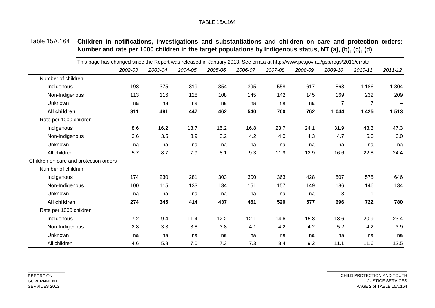| Table 15A.164 Children in notifications, investigations and substantiations and children on care and protection orders: |  |  |  |  |
|-------------------------------------------------------------------------------------------------------------------------|--|--|--|--|
| Number and rate per 1000 children in the target populations by Indigenous status, NT (a), (b), (c), (d)                 |  |  |  |  |

|                                        | This page has changed since the Report was released in January 2013. See errata at http://www.pc.gov.au/gsp/rogs/2013/errata |         |         |         |         |         |         |                |                |             |
|----------------------------------------|------------------------------------------------------------------------------------------------------------------------------|---------|---------|---------|---------|---------|---------|----------------|----------------|-------------|
|                                        | 2002-03                                                                                                                      | 2003-04 | 2004-05 | 2005-06 | 2006-07 | 2007-08 | 2008-09 | 2009-10        | 2010-11        | $2011 - 12$ |
| Number of children                     |                                                                                                                              |         |         |         |         |         |         |                |                |             |
| Indigenous                             | 198                                                                                                                          | 375     | 319     | 354     | 395     | 558     | 617     | 868            | 1 1 8 6        | 1 3 0 4     |
| Non-Indigenous                         | 113                                                                                                                          | 116     | 128     | 108     | 145     | 142     | 145     | 169            | 232            | 209         |
| Unknown                                | na                                                                                                                           | na      | na      | na      | na      | na      | na      | $\overline{7}$ | $\overline{7}$ |             |
| All children                           | 311                                                                                                                          | 491     | 447     | 462     | 540     | 700     | 762     | 1 0 4 4        | 1 4 2 5        | 1 5 1 3     |
| Rate per 1000 children                 |                                                                                                                              |         |         |         |         |         |         |                |                |             |
| Indigenous                             | 8.6                                                                                                                          | 16.2    | 13.7    | 15.2    | 16.8    | 23.7    | 24.1    | 31.9           | 43.3           | 47.3        |
| Non-Indigenous                         | 3.6                                                                                                                          | 3.5     | 3.9     | 3.2     | 4.2     | 4.0     | 4.3     | 4.7            | 6.6            | 6.0         |
| Unknown                                | na                                                                                                                           | na      | na      | na      | na      | na      | na      | na             | na             | na          |
| All children                           | 5.7                                                                                                                          | 8.7     | 7.9     | 8.1     | 9.3     | 11.9    | 12.9    | 16.6           | 22.8           | 24.4        |
| Children on care and protection orders |                                                                                                                              |         |         |         |         |         |         |                |                |             |
| Number of children                     |                                                                                                                              |         |         |         |         |         |         |                |                |             |
| Indigenous                             | 174                                                                                                                          | 230     | 281     | 303     | 300     | 363     | 428     | 507            | 575            | 646         |
| Non-Indigenous                         | 100                                                                                                                          | 115     | 133     | 134     | 151     | 157     | 149     | 186            | 146            | 134         |
| Unknown                                | na                                                                                                                           | na      | na      | na      | na      | na      | na      | 3              | 1              |             |
| All children                           | 274                                                                                                                          | 345     | 414     | 437     | 451     | 520     | 577     | 696            | 722            | 780         |
| Rate per 1000 children                 |                                                                                                                              |         |         |         |         |         |         |                |                |             |
| Indigenous                             | 7.2                                                                                                                          | 9.4     | 11.4    | 12.2    | 12.1    | 14.6    | 15.8    | 18.6           | 20.9           | 23.4        |
| Non-Indigenous                         | 2.8                                                                                                                          | 3.3     | 3.8     | 3.8     | 4.1     | 4.2     | 4.2     | 5.2            | 4.2            | 3.9         |
| Unknown                                | na                                                                                                                           | na      | na      | na      | na      | na      | na      | na             | na             | na          |
| All children                           | 4.6                                                                                                                          | 5.8     | 7.0     | 7.3     | 7.3     | 8.4     | 9.2     | 11.1           | 11.6           | 12.5        |